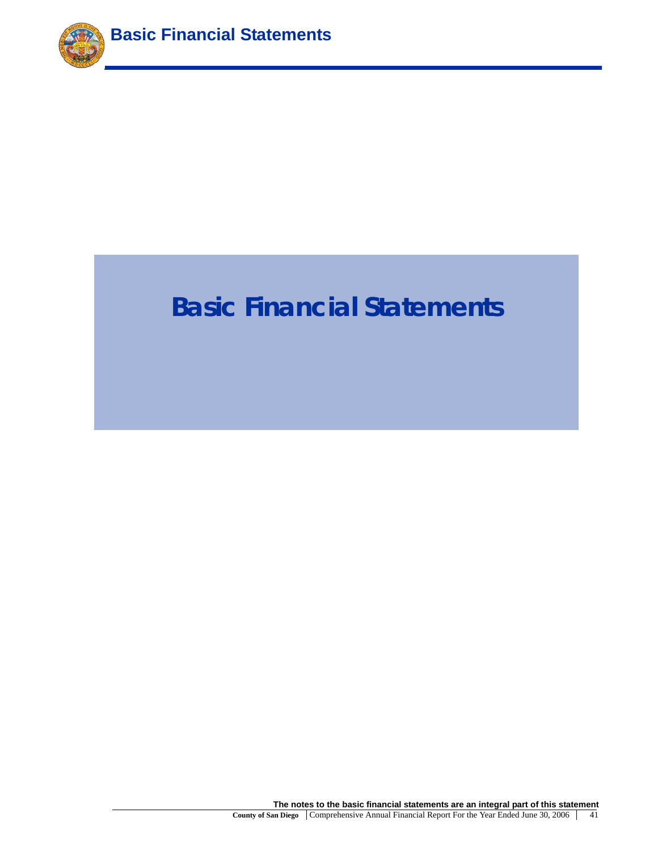

# **Basic Financial Statements**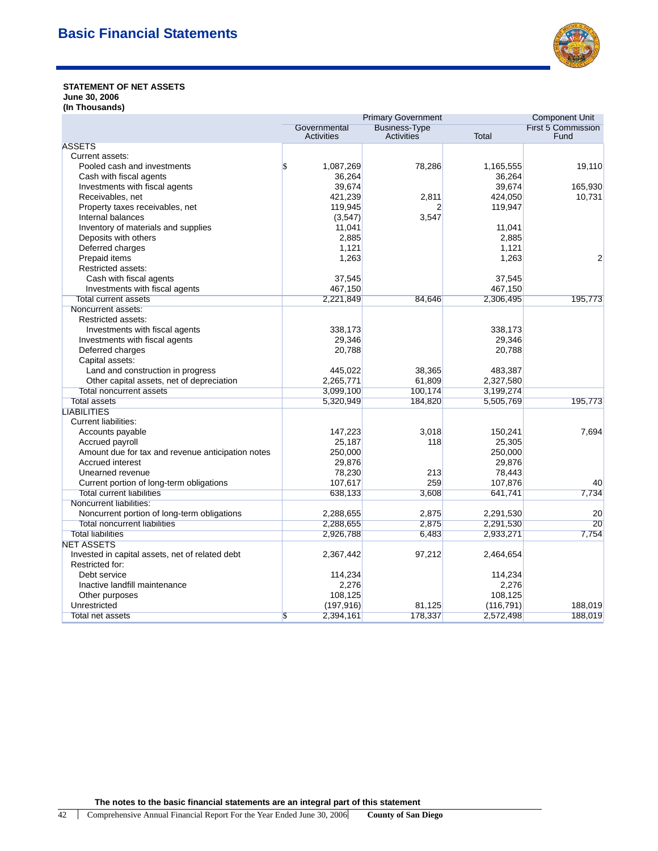

### **STATEMENT OF NET ASSETS June 30, 2006 (In Thousands)**

| Governmental<br>Activities<br>Total<br>Fund<br>Activities<br><b>ASSETS</b><br>Current assets:<br>78,286<br>Pooled cash and investments<br>\$<br>1,087,269<br>1,165,555<br>19,110<br>36,264<br>36,264<br>Cash with fiscal agents<br>39,674<br>39,674<br>165,930<br>Investments with fiscal agents<br>Receivables, net<br>421,239<br>2,811<br>424,050<br>10,731<br>119,945<br>119,947<br>Property taxes receivables, net<br>$\overline{2}$<br>Internal balances<br>3,547<br>(3, 547)<br>Inventory of materials and supplies<br>11,041<br>11,041<br>Deposits with others<br>2,885<br>2,885<br>Deferred charges<br>1,121<br>1,121<br>Prepaid items<br>1,263<br>1,263<br>2<br>Restricted assets:<br>37,545<br>37,545<br>Cash with fiscal agents<br>467,150<br>Investments with fiscal agents<br>467,150<br>2,221,849<br>84,646<br>2,306,495<br>195,773<br><b>Total current assets</b><br>Noncurrent assets:<br>Restricted assets:<br>Investments with fiscal agents<br>338,173<br>338,173<br>29,346<br>Investments with fiscal agents<br>29,346<br>Deferred charges<br>20,788<br>20,788<br>Capital assets:<br>Land and construction in progress<br>445,022<br>38,365<br>483,387<br>Other capital assets, net of depreciation<br>2,265,771<br>61,809<br>2,327,580<br>3,099,100<br>100,174<br>3,199,274<br><b>Total noncurrent assets</b><br>195,773<br>Total assets<br>5,320,949<br>184,820<br>5,505,769<br><b>LIABILITIES</b><br><b>Current liabilities:</b><br>3,018<br>Accounts payable<br>147,223<br>150,241<br>7,694<br>25,187<br>25,305<br>Accrued payroll<br>118<br>Amount due for tax and revenue anticipation notes<br>250,000<br>250,000<br>Accrued interest<br>29,876<br>29,876<br>78,230<br>213<br>78,443<br>Unearned revenue<br>259<br>Current portion of long-term obligations<br>107,617<br>107,876<br>40<br><b>Total current liabilities</b><br>638,133<br>3,608<br>641,741<br>7,734<br>Noncurrent liabilities:<br>Noncurrent portion of long-term obligations<br>2,288,655<br>2,875<br>2,291,530<br>20<br>$\overline{20}$<br><b>Total noncurrent liabilities</b><br>2,875<br>2,291,530<br>2,288,655<br><b>Total liabilities</b><br>6,483<br>2,933,271<br>7,754<br>2,926,788<br><b>NET ASSETS</b><br>Invested in capital assets, net of related debt<br>2,367,442<br>97,212<br>2,464,654<br>Restricted for:<br>114,234<br>114,234<br>Debt service<br>Inactive landfill maintenance<br>2,276<br>2,276<br>108,125<br>108,125<br>Other purposes<br>Unrestricted<br>188,019<br>(197, 916)<br>81,125<br>(116, 791)<br>Total net assets<br>\$<br>2,394,161<br>178,337<br>2,572,498<br>188,019 |  | <b>Primary Government</b> | <b>Component Unit</b>     |
|---------------------------------------------------------------------------------------------------------------------------------------------------------------------------------------------------------------------------------------------------------------------------------------------------------------------------------------------------------------------------------------------------------------------------------------------------------------------------------------------------------------------------------------------------------------------------------------------------------------------------------------------------------------------------------------------------------------------------------------------------------------------------------------------------------------------------------------------------------------------------------------------------------------------------------------------------------------------------------------------------------------------------------------------------------------------------------------------------------------------------------------------------------------------------------------------------------------------------------------------------------------------------------------------------------------------------------------------------------------------------------------------------------------------------------------------------------------------------------------------------------------------------------------------------------------------------------------------------------------------------------------------------------------------------------------------------------------------------------------------------------------------------------------------------------------------------------------------------------------------------------------------------------------------------------------------------------------------------------------------------------------------------------------------------------------------------------------------------------------------------------------------------------------------------------------------------------------------------------------------------------------------------------------------------------------------------------------------------------------------------------------------------------------------------------------------------------------------------------------------------------------------------------------------------------------------------------------------------|--|---------------------------|---------------------------|
|                                                                                                                                                                                                                                                                                                                                                                                                                                                                                                                                                                                                                                                                                                                                                                                                                                                                                                                                                                                                                                                                                                                                                                                                                                                                                                                                                                                                                                                                                                                                                                                                                                                                                                                                                                                                                                                                                                                                                                                                                                                                                                                                                                                                                                                                                                                                                                                                                                                                                                                                                                                                   |  | <b>Business-Type</b>      | <b>First 5 Commission</b> |
|                                                                                                                                                                                                                                                                                                                                                                                                                                                                                                                                                                                                                                                                                                                                                                                                                                                                                                                                                                                                                                                                                                                                                                                                                                                                                                                                                                                                                                                                                                                                                                                                                                                                                                                                                                                                                                                                                                                                                                                                                                                                                                                                                                                                                                                                                                                                                                                                                                                                                                                                                                                                   |  |                           |                           |
|                                                                                                                                                                                                                                                                                                                                                                                                                                                                                                                                                                                                                                                                                                                                                                                                                                                                                                                                                                                                                                                                                                                                                                                                                                                                                                                                                                                                                                                                                                                                                                                                                                                                                                                                                                                                                                                                                                                                                                                                                                                                                                                                                                                                                                                                                                                                                                                                                                                                                                                                                                                                   |  |                           |                           |
|                                                                                                                                                                                                                                                                                                                                                                                                                                                                                                                                                                                                                                                                                                                                                                                                                                                                                                                                                                                                                                                                                                                                                                                                                                                                                                                                                                                                                                                                                                                                                                                                                                                                                                                                                                                                                                                                                                                                                                                                                                                                                                                                                                                                                                                                                                                                                                                                                                                                                                                                                                                                   |  |                           |                           |
|                                                                                                                                                                                                                                                                                                                                                                                                                                                                                                                                                                                                                                                                                                                                                                                                                                                                                                                                                                                                                                                                                                                                                                                                                                                                                                                                                                                                                                                                                                                                                                                                                                                                                                                                                                                                                                                                                                                                                                                                                                                                                                                                                                                                                                                                                                                                                                                                                                                                                                                                                                                                   |  |                           |                           |
|                                                                                                                                                                                                                                                                                                                                                                                                                                                                                                                                                                                                                                                                                                                                                                                                                                                                                                                                                                                                                                                                                                                                                                                                                                                                                                                                                                                                                                                                                                                                                                                                                                                                                                                                                                                                                                                                                                                                                                                                                                                                                                                                                                                                                                                                                                                                                                                                                                                                                                                                                                                                   |  |                           |                           |
|                                                                                                                                                                                                                                                                                                                                                                                                                                                                                                                                                                                                                                                                                                                                                                                                                                                                                                                                                                                                                                                                                                                                                                                                                                                                                                                                                                                                                                                                                                                                                                                                                                                                                                                                                                                                                                                                                                                                                                                                                                                                                                                                                                                                                                                                                                                                                                                                                                                                                                                                                                                                   |  |                           |                           |
|                                                                                                                                                                                                                                                                                                                                                                                                                                                                                                                                                                                                                                                                                                                                                                                                                                                                                                                                                                                                                                                                                                                                                                                                                                                                                                                                                                                                                                                                                                                                                                                                                                                                                                                                                                                                                                                                                                                                                                                                                                                                                                                                                                                                                                                                                                                                                                                                                                                                                                                                                                                                   |  |                           |                           |
|                                                                                                                                                                                                                                                                                                                                                                                                                                                                                                                                                                                                                                                                                                                                                                                                                                                                                                                                                                                                                                                                                                                                                                                                                                                                                                                                                                                                                                                                                                                                                                                                                                                                                                                                                                                                                                                                                                                                                                                                                                                                                                                                                                                                                                                                                                                                                                                                                                                                                                                                                                                                   |  |                           |                           |
|                                                                                                                                                                                                                                                                                                                                                                                                                                                                                                                                                                                                                                                                                                                                                                                                                                                                                                                                                                                                                                                                                                                                                                                                                                                                                                                                                                                                                                                                                                                                                                                                                                                                                                                                                                                                                                                                                                                                                                                                                                                                                                                                                                                                                                                                                                                                                                                                                                                                                                                                                                                                   |  |                           |                           |
|                                                                                                                                                                                                                                                                                                                                                                                                                                                                                                                                                                                                                                                                                                                                                                                                                                                                                                                                                                                                                                                                                                                                                                                                                                                                                                                                                                                                                                                                                                                                                                                                                                                                                                                                                                                                                                                                                                                                                                                                                                                                                                                                                                                                                                                                                                                                                                                                                                                                                                                                                                                                   |  |                           |                           |
|                                                                                                                                                                                                                                                                                                                                                                                                                                                                                                                                                                                                                                                                                                                                                                                                                                                                                                                                                                                                                                                                                                                                                                                                                                                                                                                                                                                                                                                                                                                                                                                                                                                                                                                                                                                                                                                                                                                                                                                                                                                                                                                                                                                                                                                                                                                                                                                                                                                                                                                                                                                                   |  |                           |                           |
|                                                                                                                                                                                                                                                                                                                                                                                                                                                                                                                                                                                                                                                                                                                                                                                                                                                                                                                                                                                                                                                                                                                                                                                                                                                                                                                                                                                                                                                                                                                                                                                                                                                                                                                                                                                                                                                                                                                                                                                                                                                                                                                                                                                                                                                                                                                                                                                                                                                                                                                                                                                                   |  |                           |                           |
|                                                                                                                                                                                                                                                                                                                                                                                                                                                                                                                                                                                                                                                                                                                                                                                                                                                                                                                                                                                                                                                                                                                                                                                                                                                                                                                                                                                                                                                                                                                                                                                                                                                                                                                                                                                                                                                                                                                                                                                                                                                                                                                                                                                                                                                                                                                                                                                                                                                                                                                                                                                                   |  |                           |                           |
|                                                                                                                                                                                                                                                                                                                                                                                                                                                                                                                                                                                                                                                                                                                                                                                                                                                                                                                                                                                                                                                                                                                                                                                                                                                                                                                                                                                                                                                                                                                                                                                                                                                                                                                                                                                                                                                                                                                                                                                                                                                                                                                                                                                                                                                                                                                                                                                                                                                                                                                                                                                                   |  |                           |                           |
|                                                                                                                                                                                                                                                                                                                                                                                                                                                                                                                                                                                                                                                                                                                                                                                                                                                                                                                                                                                                                                                                                                                                                                                                                                                                                                                                                                                                                                                                                                                                                                                                                                                                                                                                                                                                                                                                                                                                                                                                                                                                                                                                                                                                                                                                                                                                                                                                                                                                                                                                                                                                   |  |                           |                           |
|                                                                                                                                                                                                                                                                                                                                                                                                                                                                                                                                                                                                                                                                                                                                                                                                                                                                                                                                                                                                                                                                                                                                                                                                                                                                                                                                                                                                                                                                                                                                                                                                                                                                                                                                                                                                                                                                                                                                                                                                                                                                                                                                                                                                                                                                                                                                                                                                                                                                                                                                                                                                   |  |                           |                           |
|                                                                                                                                                                                                                                                                                                                                                                                                                                                                                                                                                                                                                                                                                                                                                                                                                                                                                                                                                                                                                                                                                                                                                                                                                                                                                                                                                                                                                                                                                                                                                                                                                                                                                                                                                                                                                                                                                                                                                                                                                                                                                                                                                                                                                                                                                                                                                                                                                                                                                                                                                                                                   |  |                           |                           |
|                                                                                                                                                                                                                                                                                                                                                                                                                                                                                                                                                                                                                                                                                                                                                                                                                                                                                                                                                                                                                                                                                                                                                                                                                                                                                                                                                                                                                                                                                                                                                                                                                                                                                                                                                                                                                                                                                                                                                                                                                                                                                                                                                                                                                                                                                                                                                                                                                                                                                                                                                                                                   |  |                           |                           |
|                                                                                                                                                                                                                                                                                                                                                                                                                                                                                                                                                                                                                                                                                                                                                                                                                                                                                                                                                                                                                                                                                                                                                                                                                                                                                                                                                                                                                                                                                                                                                                                                                                                                                                                                                                                                                                                                                                                                                                                                                                                                                                                                                                                                                                                                                                                                                                                                                                                                                                                                                                                                   |  |                           |                           |
|                                                                                                                                                                                                                                                                                                                                                                                                                                                                                                                                                                                                                                                                                                                                                                                                                                                                                                                                                                                                                                                                                                                                                                                                                                                                                                                                                                                                                                                                                                                                                                                                                                                                                                                                                                                                                                                                                                                                                                                                                                                                                                                                                                                                                                                                                                                                                                                                                                                                                                                                                                                                   |  |                           |                           |
|                                                                                                                                                                                                                                                                                                                                                                                                                                                                                                                                                                                                                                                                                                                                                                                                                                                                                                                                                                                                                                                                                                                                                                                                                                                                                                                                                                                                                                                                                                                                                                                                                                                                                                                                                                                                                                                                                                                                                                                                                                                                                                                                                                                                                                                                                                                                                                                                                                                                                                                                                                                                   |  |                           |                           |
|                                                                                                                                                                                                                                                                                                                                                                                                                                                                                                                                                                                                                                                                                                                                                                                                                                                                                                                                                                                                                                                                                                                                                                                                                                                                                                                                                                                                                                                                                                                                                                                                                                                                                                                                                                                                                                                                                                                                                                                                                                                                                                                                                                                                                                                                                                                                                                                                                                                                                                                                                                                                   |  |                           |                           |
|                                                                                                                                                                                                                                                                                                                                                                                                                                                                                                                                                                                                                                                                                                                                                                                                                                                                                                                                                                                                                                                                                                                                                                                                                                                                                                                                                                                                                                                                                                                                                                                                                                                                                                                                                                                                                                                                                                                                                                                                                                                                                                                                                                                                                                                                                                                                                                                                                                                                                                                                                                                                   |  |                           |                           |
|                                                                                                                                                                                                                                                                                                                                                                                                                                                                                                                                                                                                                                                                                                                                                                                                                                                                                                                                                                                                                                                                                                                                                                                                                                                                                                                                                                                                                                                                                                                                                                                                                                                                                                                                                                                                                                                                                                                                                                                                                                                                                                                                                                                                                                                                                                                                                                                                                                                                                                                                                                                                   |  |                           |                           |
|                                                                                                                                                                                                                                                                                                                                                                                                                                                                                                                                                                                                                                                                                                                                                                                                                                                                                                                                                                                                                                                                                                                                                                                                                                                                                                                                                                                                                                                                                                                                                                                                                                                                                                                                                                                                                                                                                                                                                                                                                                                                                                                                                                                                                                                                                                                                                                                                                                                                                                                                                                                                   |  |                           |                           |
|                                                                                                                                                                                                                                                                                                                                                                                                                                                                                                                                                                                                                                                                                                                                                                                                                                                                                                                                                                                                                                                                                                                                                                                                                                                                                                                                                                                                                                                                                                                                                                                                                                                                                                                                                                                                                                                                                                                                                                                                                                                                                                                                                                                                                                                                                                                                                                                                                                                                                                                                                                                                   |  |                           |                           |
|                                                                                                                                                                                                                                                                                                                                                                                                                                                                                                                                                                                                                                                                                                                                                                                                                                                                                                                                                                                                                                                                                                                                                                                                                                                                                                                                                                                                                                                                                                                                                                                                                                                                                                                                                                                                                                                                                                                                                                                                                                                                                                                                                                                                                                                                                                                                                                                                                                                                                                                                                                                                   |  |                           |                           |
|                                                                                                                                                                                                                                                                                                                                                                                                                                                                                                                                                                                                                                                                                                                                                                                                                                                                                                                                                                                                                                                                                                                                                                                                                                                                                                                                                                                                                                                                                                                                                                                                                                                                                                                                                                                                                                                                                                                                                                                                                                                                                                                                                                                                                                                                                                                                                                                                                                                                                                                                                                                                   |  |                           |                           |
|                                                                                                                                                                                                                                                                                                                                                                                                                                                                                                                                                                                                                                                                                                                                                                                                                                                                                                                                                                                                                                                                                                                                                                                                                                                                                                                                                                                                                                                                                                                                                                                                                                                                                                                                                                                                                                                                                                                                                                                                                                                                                                                                                                                                                                                                                                                                                                                                                                                                                                                                                                                                   |  |                           |                           |
|                                                                                                                                                                                                                                                                                                                                                                                                                                                                                                                                                                                                                                                                                                                                                                                                                                                                                                                                                                                                                                                                                                                                                                                                                                                                                                                                                                                                                                                                                                                                                                                                                                                                                                                                                                                                                                                                                                                                                                                                                                                                                                                                                                                                                                                                                                                                                                                                                                                                                                                                                                                                   |  |                           |                           |
|                                                                                                                                                                                                                                                                                                                                                                                                                                                                                                                                                                                                                                                                                                                                                                                                                                                                                                                                                                                                                                                                                                                                                                                                                                                                                                                                                                                                                                                                                                                                                                                                                                                                                                                                                                                                                                                                                                                                                                                                                                                                                                                                                                                                                                                                                                                                                                                                                                                                                                                                                                                                   |  |                           |                           |
|                                                                                                                                                                                                                                                                                                                                                                                                                                                                                                                                                                                                                                                                                                                                                                                                                                                                                                                                                                                                                                                                                                                                                                                                                                                                                                                                                                                                                                                                                                                                                                                                                                                                                                                                                                                                                                                                                                                                                                                                                                                                                                                                                                                                                                                                                                                                                                                                                                                                                                                                                                                                   |  |                           |                           |
|                                                                                                                                                                                                                                                                                                                                                                                                                                                                                                                                                                                                                                                                                                                                                                                                                                                                                                                                                                                                                                                                                                                                                                                                                                                                                                                                                                                                                                                                                                                                                                                                                                                                                                                                                                                                                                                                                                                                                                                                                                                                                                                                                                                                                                                                                                                                                                                                                                                                                                                                                                                                   |  |                           |                           |
|                                                                                                                                                                                                                                                                                                                                                                                                                                                                                                                                                                                                                                                                                                                                                                                                                                                                                                                                                                                                                                                                                                                                                                                                                                                                                                                                                                                                                                                                                                                                                                                                                                                                                                                                                                                                                                                                                                                                                                                                                                                                                                                                                                                                                                                                                                                                                                                                                                                                                                                                                                                                   |  |                           |                           |
|                                                                                                                                                                                                                                                                                                                                                                                                                                                                                                                                                                                                                                                                                                                                                                                                                                                                                                                                                                                                                                                                                                                                                                                                                                                                                                                                                                                                                                                                                                                                                                                                                                                                                                                                                                                                                                                                                                                                                                                                                                                                                                                                                                                                                                                                                                                                                                                                                                                                                                                                                                                                   |  |                           |                           |
|                                                                                                                                                                                                                                                                                                                                                                                                                                                                                                                                                                                                                                                                                                                                                                                                                                                                                                                                                                                                                                                                                                                                                                                                                                                                                                                                                                                                                                                                                                                                                                                                                                                                                                                                                                                                                                                                                                                                                                                                                                                                                                                                                                                                                                                                                                                                                                                                                                                                                                                                                                                                   |  |                           |                           |
|                                                                                                                                                                                                                                                                                                                                                                                                                                                                                                                                                                                                                                                                                                                                                                                                                                                                                                                                                                                                                                                                                                                                                                                                                                                                                                                                                                                                                                                                                                                                                                                                                                                                                                                                                                                                                                                                                                                                                                                                                                                                                                                                                                                                                                                                                                                                                                                                                                                                                                                                                                                                   |  |                           |                           |
|                                                                                                                                                                                                                                                                                                                                                                                                                                                                                                                                                                                                                                                                                                                                                                                                                                                                                                                                                                                                                                                                                                                                                                                                                                                                                                                                                                                                                                                                                                                                                                                                                                                                                                                                                                                                                                                                                                                                                                                                                                                                                                                                                                                                                                                                                                                                                                                                                                                                                                                                                                                                   |  |                           |                           |
|                                                                                                                                                                                                                                                                                                                                                                                                                                                                                                                                                                                                                                                                                                                                                                                                                                                                                                                                                                                                                                                                                                                                                                                                                                                                                                                                                                                                                                                                                                                                                                                                                                                                                                                                                                                                                                                                                                                                                                                                                                                                                                                                                                                                                                                                                                                                                                                                                                                                                                                                                                                                   |  |                           |                           |
|                                                                                                                                                                                                                                                                                                                                                                                                                                                                                                                                                                                                                                                                                                                                                                                                                                                                                                                                                                                                                                                                                                                                                                                                                                                                                                                                                                                                                                                                                                                                                                                                                                                                                                                                                                                                                                                                                                                                                                                                                                                                                                                                                                                                                                                                                                                                                                                                                                                                                                                                                                                                   |  |                           |                           |
|                                                                                                                                                                                                                                                                                                                                                                                                                                                                                                                                                                                                                                                                                                                                                                                                                                                                                                                                                                                                                                                                                                                                                                                                                                                                                                                                                                                                                                                                                                                                                                                                                                                                                                                                                                                                                                                                                                                                                                                                                                                                                                                                                                                                                                                                                                                                                                                                                                                                                                                                                                                                   |  |                           |                           |
|                                                                                                                                                                                                                                                                                                                                                                                                                                                                                                                                                                                                                                                                                                                                                                                                                                                                                                                                                                                                                                                                                                                                                                                                                                                                                                                                                                                                                                                                                                                                                                                                                                                                                                                                                                                                                                                                                                                                                                                                                                                                                                                                                                                                                                                                                                                                                                                                                                                                                                                                                                                                   |  |                           |                           |
|                                                                                                                                                                                                                                                                                                                                                                                                                                                                                                                                                                                                                                                                                                                                                                                                                                                                                                                                                                                                                                                                                                                                                                                                                                                                                                                                                                                                                                                                                                                                                                                                                                                                                                                                                                                                                                                                                                                                                                                                                                                                                                                                                                                                                                                                                                                                                                                                                                                                                                                                                                                                   |  |                           |                           |
|                                                                                                                                                                                                                                                                                                                                                                                                                                                                                                                                                                                                                                                                                                                                                                                                                                                                                                                                                                                                                                                                                                                                                                                                                                                                                                                                                                                                                                                                                                                                                                                                                                                                                                                                                                                                                                                                                                                                                                                                                                                                                                                                                                                                                                                                                                                                                                                                                                                                                                                                                                                                   |  |                           |                           |
|                                                                                                                                                                                                                                                                                                                                                                                                                                                                                                                                                                                                                                                                                                                                                                                                                                                                                                                                                                                                                                                                                                                                                                                                                                                                                                                                                                                                                                                                                                                                                                                                                                                                                                                                                                                                                                                                                                                                                                                                                                                                                                                                                                                                                                                                                                                                                                                                                                                                                                                                                                                                   |  |                           |                           |
|                                                                                                                                                                                                                                                                                                                                                                                                                                                                                                                                                                                                                                                                                                                                                                                                                                                                                                                                                                                                                                                                                                                                                                                                                                                                                                                                                                                                                                                                                                                                                                                                                                                                                                                                                                                                                                                                                                                                                                                                                                                                                                                                                                                                                                                                                                                                                                                                                                                                                                                                                                                                   |  |                           |                           |
|                                                                                                                                                                                                                                                                                                                                                                                                                                                                                                                                                                                                                                                                                                                                                                                                                                                                                                                                                                                                                                                                                                                                                                                                                                                                                                                                                                                                                                                                                                                                                                                                                                                                                                                                                                                                                                                                                                                                                                                                                                                                                                                                                                                                                                                                                                                                                                                                                                                                                                                                                                                                   |  |                           |                           |
|                                                                                                                                                                                                                                                                                                                                                                                                                                                                                                                                                                                                                                                                                                                                                                                                                                                                                                                                                                                                                                                                                                                                                                                                                                                                                                                                                                                                                                                                                                                                                                                                                                                                                                                                                                                                                                                                                                                                                                                                                                                                                                                                                                                                                                                                                                                                                                                                                                                                                                                                                                                                   |  |                           |                           |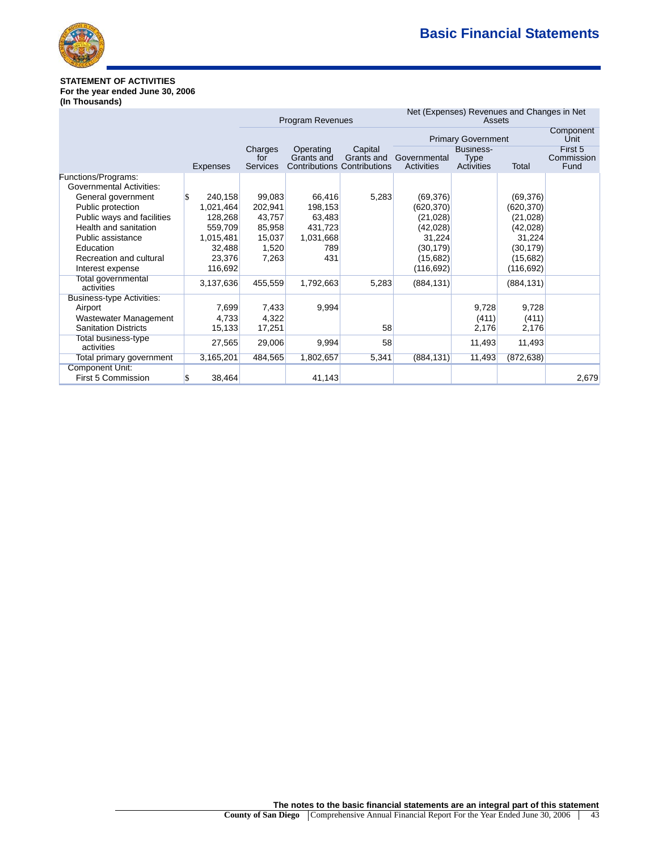

# **STATEMENT OF ACTIVITIES For the year ended June 30, 2006**

**(In Thousands)**

|                                                                                                                                                                                                                                    |                                                                                        |                                                                   | Program Revenues                                                  |                                                             |                                                                                                   | Assets                                        | Net (Expenses) Revenues and Changes in Net                                                       |                               |
|------------------------------------------------------------------------------------------------------------------------------------------------------------------------------------------------------------------------------------|----------------------------------------------------------------------------------------|-------------------------------------------------------------------|-------------------------------------------------------------------|-------------------------------------------------------------|---------------------------------------------------------------------------------------------------|-----------------------------------------------|--------------------------------------------------------------------------------------------------|-------------------------------|
|                                                                                                                                                                                                                                    |                                                                                        |                                                                   |                                                                   |                                                             |                                                                                                   | <b>Primary Government</b>                     |                                                                                                  | Component<br>Unit             |
|                                                                                                                                                                                                                                    | Expenses                                                                               | Charges<br>for<br><b>Services</b>                                 | Operating<br>Grants and                                           | Capital<br>Grants and<br><b>Contributions Contributions</b> | Governmental<br>Activities                                                                        | <b>Business-</b><br><b>Type</b><br>Activities | Total                                                                                            | First 5<br>Commission<br>Fund |
| Functions/Programs:<br>Governmental Activities:<br>General government<br>Public protection<br>Public ways and facilities<br>Health and sanitation<br>Public assistance<br>Education<br>Recreation and cultural<br>Interest expense | 240,158<br>1,021,464<br>128,268<br>559,709<br>1,015,481<br>32,488<br>23,376<br>116,692 | 99,083<br>202,941<br>43,757<br>85,958<br>15,037<br>1,520<br>7,263 | 66,416<br>198,153<br>63,483<br>431,723<br>1,031,668<br>789<br>431 | 5,283                                                       | (69, 376)<br>(620, 370)<br>(21, 028)<br>(42,028)<br>31,224<br>(30, 179)<br>(15,682)<br>(116, 692) |                                               | (69, 376)<br>(620, 370)<br>(21,028)<br>(42,028)<br>31,224<br>(30, 179)<br>(15,682)<br>(116, 692) |                               |
| Total governmental<br>activities                                                                                                                                                                                                   | 3,137,636                                                                              | 455,559                                                           | 1,792,663                                                         | 5,283                                                       | (884, 131)                                                                                        |                                               | (884, 131)                                                                                       |                               |
| Business-type Activities:<br>Airport<br>Wastewater Management<br><b>Sanitation Districts</b>                                                                                                                                       | 7,699<br>4,733<br>15,133                                                               | 7,433<br>4,322<br>17,251                                          | 9,994                                                             | 58                                                          |                                                                                                   | 9,728<br>(411)<br>2,176                       | 9,728<br>(411)<br>2,176                                                                          |                               |
| Total business-type<br>activities                                                                                                                                                                                                  | 27,565                                                                                 | 29,006                                                            | 9,994                                                             | 58                                                          |                                                                                                   | 11,493                                        | 11,493                                                                                           |                               |
| Total primary government                                                                                                                                                                                                           | 3,165,201                                                                              | 484,565                                                           | 1,802,657                                                         | 5,341                                                       | (884, 131)                                                                                        | 11,493                                        | (872, 638)                                                                                       |                               |
| <b>Component Unit:</b><br>First 5 Commission                                                                                                                                                                                       | 38,464                                                                                 |                                                                   | 41,143                                                            |                                                             |                                                                                                   |                                               |                                                                                                  | 2,679                         |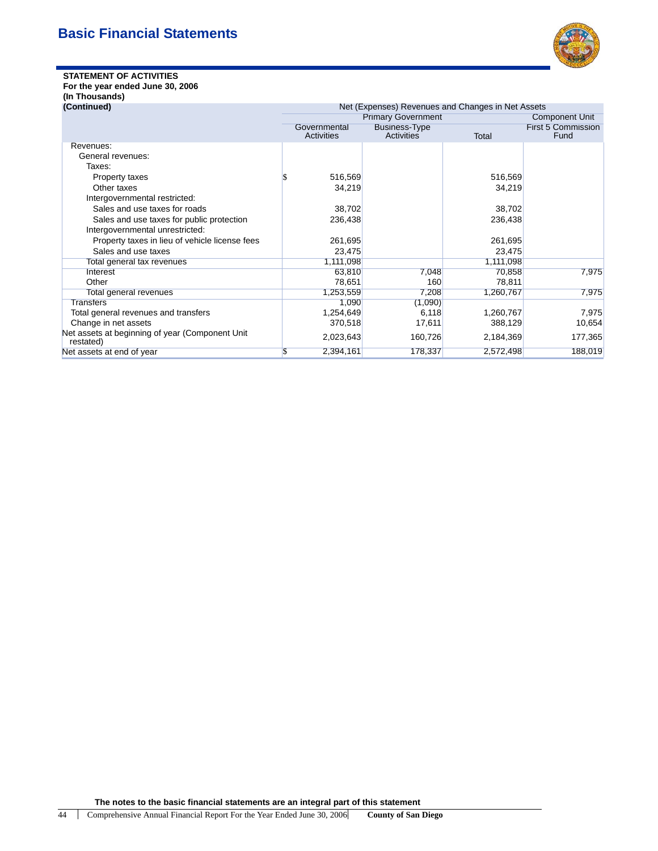

# **STATEMENT OF ACTIVITIES**

# **For the year ended June 30, 2006 (In Thousands)**

| (In Thousand |  |
|--------------|--|
|              |  |

| Net (Expenses) Revenues and Changes in Net Assets<br>(Continued) |                            |                                    |           |                                   |  |
|------------------------------------------------------------------|----------------------------|------------------------------------|-----------|-----------------------------------|--|
|                                                                  |                            | <b>Primary Government</b>          |           | <b>Component Unit</b>             |  |
|                                                                  | Governmental<br>Activities | <b>Business-Type</b><br>Activities | Total     | <b>First 5 Commission</b><br>Fund |  |
| Revenues:                                                        |                            |                                    |           |                                   |  |
| General revenues:                                                |                            |                                    |           |                                   |  |
| Taxes:                                                           |                            |                                    |           |                                   |  |
| Property taxes                                                   | 516,569                    |                                    | 516,569   |                                   |  |
| Other taxes                                                      | 34,219                     |                                    | 34,219    |                                   |  |
| Intergovernmental restricted:                                    |                            |                                    |           |                                   |  |
| Sales and use taxes for roads                                    | 38,702                     |                                    | 38,702    |                                   |  |
| Sales and use taxes for public protection                        | 236,438                    |                                    | 236,438   |                                   |  |
| Intergovernmental unrestricted:                                  |                            |                                    |           |                                   |  |
| Property taxes in lieu of vehicle license fees                   | 261,695                    |                                    | 261,695   |                                   |  |
| Sales and use taxes                                              | 23,475                     |                                    | 23,475    |                                   |  |
| Total general tax revenues                                       | 1,111,098                  |                                    | 1,111,098 |                                   |  |
| Interest                                                         | 63,810                     | 7,048                              | 70,858    | 7,975                             |  |
| Other                                                            | 78,651                     | 160                                | 78,811    |                                   |  |
| Total general revenues                                           | 1,253,559                  | 7,208                              | 1,260,767 | 7,975                             |  |
| Transfers                                                        | 1,090                      | (1,090)                            |           |                                   |  |
| Total general revenues and transfers                             | 1,254,649                  | 6,118                              | 1,260,767 | 7,975                             |  |
| Change in net assets                                             | 370,518                    | 17,611                             | 388,129   | 10,654                            |  |
| Net assets at beginning of year (Component Unit<br>restated)     | 2,023,643                  | 160,726                            | 2,184,369 | 177,365                           |  |
| Net assets at end of year                                        | <sup>\$</sup><br>2,394,161 | 178,337                            | 2,572,498 | 188,019                           |  |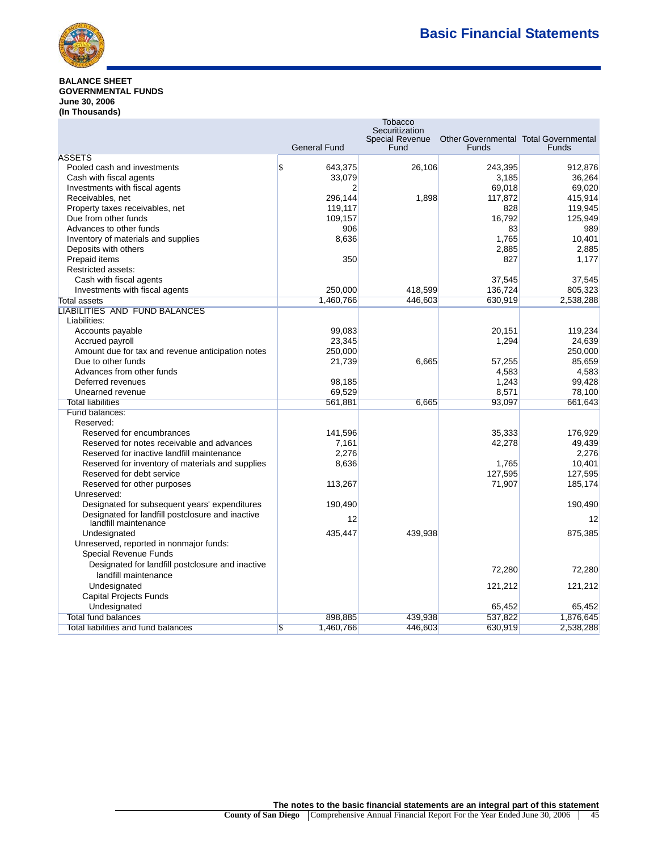

## **BALANCE SHEET GOVERNMENTAL FUNDS June 30, 2006 (In Thousands)**

|                                                   |                                      | <b>Tobacco</b>                           |                                              |              |
|---------------------------------------------------|--------------------------------------|------------------------------------------|----------------------------------------------|--------------|
|                                                   |                                      | Securitization<br><b>Special Revenue</b> | <b>Other Governmental Total Governmental</b> |              |
|                                                   | <b>General Fund</b>                  | Fund                                     | <b>Funds</b>                                 | <b>Funds</b> |
| <b>ASSETS</b>                                     |                                      |                                          |                                              |              |
| Pooled cash and investments                       | $\boldsymbol{\mathsf{S}}$<br>643,375 | 26,106                                   | 243,395                                      | 912,876      |
| Cash with fiscal agents                           | 33,079                               |                                          | 3,185                                        | 36,264       |
| Investments with fiscal agents                    | 2                                    |                                          | 69,018                                       | 69.020       |
| Receivables, net                                  | 296,144                              | 1,898                                    | 117,872                                      | 415,914      |
| Property taxes receivables, net                   | 119,117                              |                                          | 828                                          | 119,945      |
| Due from other funds                              | 109,157                              |                                          | 16.792                                       | 125,949      |
| Advances to other funds                           | 906                                  |                                          | 83                                           | 989          |
| Inventory of materials and supplies               | 8,636                                |                                          | 1,765                                        | 10,401       |
| Deposits with others                              |                                      |                                          | 2,885                                        | 2,885        |
| Prepaid items                                     | 350                                  |                                          | 827                                          | 1.177        |
| Restricted assets:                                |                                      |                                          |                                              |              |
| Cash with fiscal agents                           |                                      |                                          | 37,545                                       | 37,545       |
| Investments with fiscal agents                    | 250,000                              | 418,599                                  | 136,724                                      | 805,323      |
| <b>Total assets</b>                               | 1,460,766                            | 446,603                                  | 630,919                                      | 2,538,288    |
| <b>LIABILITIES AND FUND BALANCES</b>              |                                      |                                          |                                              |              |
| Liabilities:                                      |                                      |                                          |                                              |              |
| Accounts payable                                  | 99,083                               |                                          | 20,151                                       | 119,234      |
| Accrued payroll                                   | 23,345                               |                                          | 1,294                                        | 24,639       |
| Amount due for tax and revenue anticipation notes | 250,000                              |                                          |                                              | 250,000      |
| Due to other funds                                | 21,739                               | 6,665                                    | 57,255                                       | 85,659       |
| Advances from other funds                         |                                      |                                          | 4,583                                        | 4,583        |
| Deferred revenues                                 | 98,185                               |                                          | 1,243                                        | 99,428       |
| Unearned revenue                                  | 69,529                               |                                          | 8,571                                        | 78,100       |
| <b>Total liabilities</b>                          | 561,881                              | 6,665                                    | 93,097                                       | 661,643      |
| Fund balances:                                    |                                      |                                          |                                              |              |
| Reserved:                                         |                                      |                                          |                                              |              |
| Reserved for encumbrances                         | 141,596                              |                                          | 35,333                                       | 176,929      |
| Reserved for notes receivable and advances        | 7,161                                |                                          | 42,278                                       | 49,439       |
| Reserved for inactive landfill maintenance        | 2,276                                |                                          |                                              | 2,276        |
| Reserved for inventory of materials and supplies  | 8,636                                |                                          | 1,765                                        | 10,401       |
| Reserved for debt service                         |                                      |                                          | 127,595                                      | 127,595      |
| Reserved for other purposes                       | 113,267                              |                                          | 71,907                                       | 185,174      |
| Unreserved:                                       |                                      |                                          |                                              |              |
| Designated for subsequent years' expenditures     | 190,490                              |                                          |                                              | 190,490      |
| Designated for landfill postclosure and inactive  | 12                                   |                                          |                                              | 12           |
| landfill maintenance                              |                                      |                                          |                                              |              |
| Undesignated                                      | 435,447                              | 439,938                                  |                                              | 875,385      |
| Unreserved, reported in nonmajor funds:           |                                      |                                          |                                              |              |
| <b>Special Revenue Funds</b>                      |                                      |                                          |                                              |              |
| Designated for landfill postclosure and inactive  |                                      |                                          | 72,280                                       | 72,280       |
| landfill maintenance                              |                                      |                                          |                                              |              |
| Undesignated                                      |                                      |                                          | 121,212                                      | 121,212      |
| Capital Projects Funds                            |                                      |                                          |                                              |              |
| Undesignated                                      |                                      |                                          | 65,452                                       | 65.452       |
| Total fund balances                               | 898,885                              | 439.938                                  | 537,822                                      | 1,876,645    |
| Total liabilities and fund balances               | $\overline{\mathbb{S}}$<br>1,460,766 | 446,603                                  | 630,919                                      | 2,538,288    |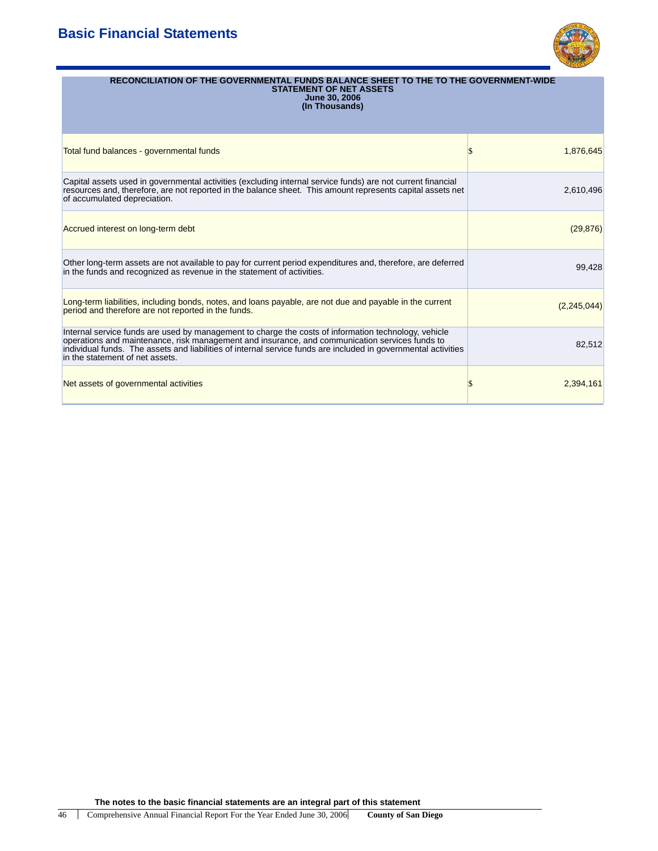# **Basic Financial Statements**



| RECONCILIATION OF THE GOVERNMENTAL FUNDS BALANCE SHEET TO THE TO THE GOVERNMENT-WIDE<br><b>STATEMENT OF NET ASSETS</b><br><b>June 30, 2006</b><br>(In Thousands)                                                                                                                                                                                            |             |
|-------------------------------------------------------------------------------------------------------------------------------------------------------------------------------------------------------------------------------------------------------------------------------------------------------------------------------------------------------------|-------------|
| Total fund balances - governmental funds                                                                                                                                                                                                                                                                                                                    | 1,876,645   |
| Capital assets used in governmental activities (excluding internal service funds) are not current financial<br>resources and, therefore, are not reported in the balance sheet. This amount represents capital assets net<br>of accumulated depreciation.                                                                                                   | 2,610,496   |
| Accrued interest on long-term debt                                                                                                                                                                                                                                                                                                                          | (29, 876)   |
| Other long-term assets are not available to pay for current period expenditures and, therefore, are deferred<br>in the funds and recognized as revenue in the statement of activities.                                                                                                                                                                      | 99.428      |
| Long-term liabilities, including bonds, notes, and loans payable, are not due and payable in the current<br>period and therefore are not reported in the funds.                                                                                                                                                                                             | (2,245,044) |
| Internal service funds are used by management to charge the costs of information technology, vehicle<br>operations and maintenance, risk management and insurance, and communication services funds to<br>individual funds. The assets and liabilities of internal service funds are included in governmental activities<br>in the statement of net assets. | 82,512      |

Net assets of governmental activities **12,394,161** and 2,394,161 and 2,394,161 and 2,394,161 and 2,394,161 and 2,394,161 and 2,394,161 and 2,394,161 and 2,394,161 and 2,394,161 and 2,394,161 and 2,394,161 and 2,394,161 and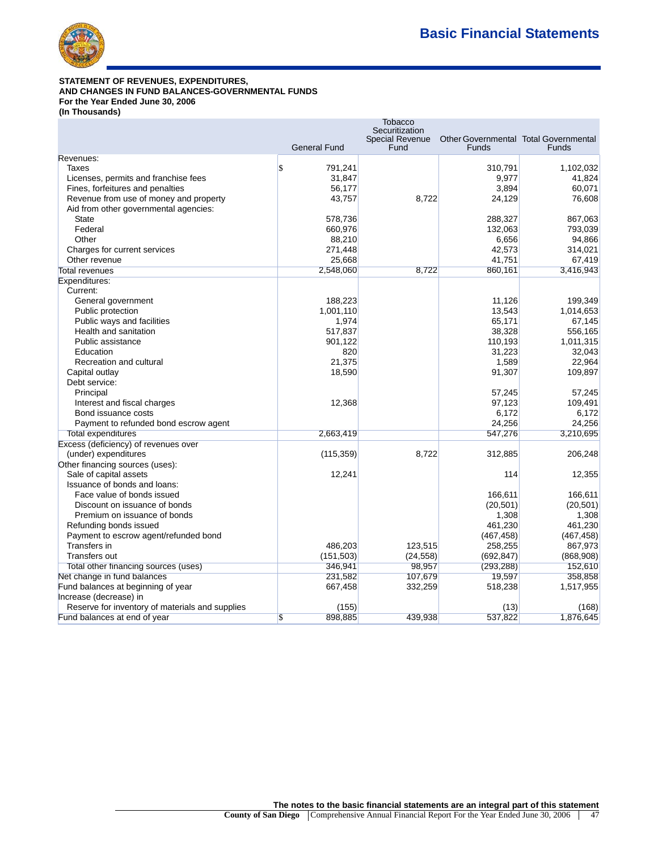

# **STATEMENT OF REVENUES, EXPENDITURES, AND CHANGES IN FUND BALANCES-GOVERNMENTAL FUNDS For the Year Ended June 30, 2006**

**(In Thousands)**

|                                                 |                                      | ιυυαννυ<br>Securitization |                                              |                  |
|-------------------------------------------------|--------------------------------------|---------------------------|----------------------------------------------|------------------|
|                                                 |                                      | Special Revenue           | <b>Other Governmental Total Governmental</b> |                  |
|                                                 | <b>General Fund</b>                  | Fund                      | Funds                                        | <b>Funds</b>     |
| Revenues:                                       |                                      |                           |                                              |                  |
| Taxes                                           | $\boldsymbol{\mathsf{S}}$<br>791,241 |                           | 310,791                                      | 1,102,032        |
| Licenses, permits and franchise fees            | 31,847                               |                           | 9,977                                        | 41,824           |
| Fines, forfeitures and penalties                | 56,177                               |                           | 3,894                                        | 60,071           |
| Revenue from use of money and property          | 43,757                               | 8,722                     | 24,129                                       | 76,608           |
| Aid from other governmental agencies:           |                                      |                           |                                              |                  |
| <b>State</b>                                    | 578,736                              |                           | 288,327                                      | 867,063          |
| Federal                                         | 660,976                              |                           | 132,063                                      | 793,039          |
| Other                                           | 88,210                               |                           | 6,656                                        | 94,866           |
| Charges for current services                    | 271,448                              |                           | 42,573                                       | 314,021          |
| Other revenue                                   | 25,668                               |                           | 41,751                                       | 67,419           |
| <b>Total revenues</b>                           | 2,548,060                            | 8,722                     | 860,161                                      | 3,416,943        |
| Expenditures:                                   |                                      |                           |                                              |                  |
| Current:                                        |                                      |                           |                                              |                  |
| General government                              | 188,223                              |                           | 11,126                                       | 199,349          |
| Public protection                               | 1,001,110                            |                           | 13,543                                       | 1,014,653        |
| Public ways and facilities                      | 1,974                                |                           | 65,171                                       | 67,145           |
| Health and sanitation                           | 517,837                              |                           | 38,328                                       | 556,165          |
| Public assistance<br>Education                  | 901,122                              |                           | 110,193                                      | 1,011,315        |
| Recreation and cultural                         | 820<br>21,375                        |                           | 31,223<br>1,589                              | 32,043<br>22,964 |
|                                                 |                                      |                           |                                              |                  |
| Capital outlay<br>Debt service:                 | 18,590                               |                           | 91,307                                       | 109,897          |
| Principal                                       |                                      |                           | 57,245                                       | 57,245           |
| Interest and fiscal charges                     | 12,368                               |                           | 97,123                                       | 109,491          |
| Bond issuance costs                             |                                      |                           | 6,172                                        | 6,172            |
| Payment to refunded bond escrow agent           |                                      |                           | 24,256                                       | 24,256           |
| <b>Total expenditures</b>                       | 2,663,419                            |                           | 547,276                                      | 3,210,695        |
| Excess (deficiency) of revenues over            |                                      |                           |                                              |                  |
| (under) expenditures                            | (115, 359)                           | 8,722                     | 312,885                                      | 206,248          |
| Other financing sources (uses):                 |                                      |                           |                                              |                  |
| Sale of capital assets                          | 12,241                               |                           | 114                                          | 12,355           |
| Issuance of bonds and loans:                    |                                      |                           |                                              |                  |
| Face value of bonds issued                      |                                      |                           | 166,611                                      | 166.611          |
| Discount on issuance of bonds                   |                                      |                           | (20, 501)                                    | (20, 501)        |
| Premium on issuance of bonds                    |                                      |                           | 1,308                                        | 1,308            |
| Refunding bonds issued                          |                                      |                           | 461,230                                      | 461,230          |
| Payment to escrow agent/refunded bond           |                                      |                           | (467, 458)                                   | (467, 458)       |
| Transfers in                                    | 486,203                              | 123,515                   | 258,255                                      | 867,973          |
| <b>Transfers out</b>                            | (151, 503)                           | (24, 558)                 | (692, 847)                                   | (868,908)        |
| Total other financing sources (uses)            | 346,941                              | 98,957                    | (293, 288)                                   | 152,610          |
| Net change in fund balances                     | 231,582                              | 107,679                   | 19,597                                       | 358,858          |
| Fund balances at beginning of year              | 667,458                              | 332,259                   | 518,238                                      | 1,517,955        |
| Increase (decrease) in                          |                                      |                           |                                              |                  |
| Reserve for inventory of materials and supplies | (155)                                |                           | (13)                                         | (168)            |
| Fund balances at end of year                    | 898,885<br>$\overline{\mathbf{S}}$   | 439,938                   | 537,822                                      | 1,876,645        |

**Tobacco**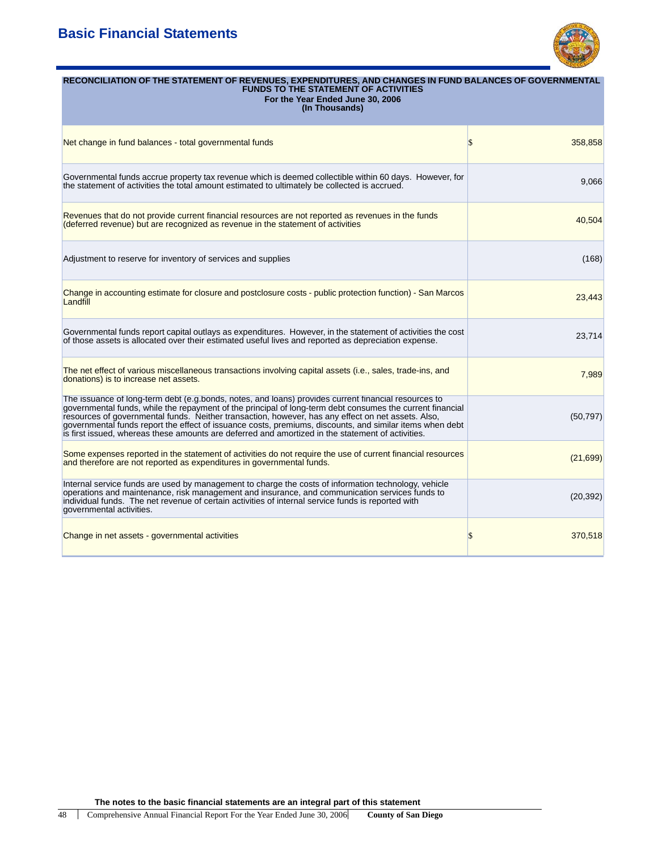# **Basic Financial Statements**



| RECONCILIATION OF THE STATEMENT OF REVENUES, EXPENDITURES, AND CHANGES IN FUND BALANCES OF GOVERNMENTAL<br><b>FUNDS TO THE STATEMENT OF ACTIVITIES</b><br>For the Year Ended June 30, 2006<br>(In Thousands)                                                                                                                                                                                                                                                                                                                             |               |  |  |  |
|------------------------------------------------------------------------------------------------------------------------------------------------------------------------------------------------------------------------------------------------------------------------------------------------------------------------------------------------------------------------------------------------------------------------------------------------------------------------------------------------------------------------------------------|---------------|--|--|--|
| Net change in fund balances - total governmental funds                                                                                                                                                                                                                                                                                                                                                                                                                                                                                   | \$<br>358,858 |  |  |  |
| Governmental funds accrue property tax revenue which is deemed collectible within 60 days. However, for<br>the statement of activities the total amount estimated to ultimately be collected is accrued.                                                                                                                                                                                                                                                                                                                                 | 9,066         |  |  |  |
| Revenues that do not provide current financial resources are not reported as revenues in the funds<br>(deferred revenue) but are recognized as revenue in the statement of activities                                                                                                                                                                                                                                                                                                                                                    | 40,504        |  |  |  |
| Adjustment to reserve for inventory of services and supplies                                                                                                                                                                                                                                                                                                                                                                                                                                                                             | (168)         |  |  |  |
| Change in accounting estimate for closure and postclosure costs - public protection function) - San Marcos<br>Landfill                                                                                                                                                                                                                                                                                                                                                                                                                   | 23,443        |  |  |  |
| Governmental funds report capital outlays as expenditures. However, in the statement of activities the cost<br>of those assets is allocated over their estimated useful lives and reported as depreciation expense.                                                                                                                                                                                                                                                                                                                      | 23,714        |  |  |  |
| The net effect of various miscellaneous transactions involving capital assets (i.e., sales, trade-ins, and<br>donations) is to increase net assets.                                                                                                                                                                                                                                                                                                                                                                                      | 7,989         |  |  |  |
| The issuance of long-term debt (e.g.bonds, notes, and loans) provides current financial resources to<br>governmental funds, while the repayment of the principal of long-term debt consumes the current financial<br>resources of governmental funds. Neither transaction, however, has any effect on net assets. Also,<br>governmental funds report the effect of issuance costs, premiums, discounts, and similar items when debt<br>is first issued, whereas these amounts are deferred and amortized in the statement of activities. | (50, 797)     |  |  |  |
| Some expenses reported in the statement of activities do not require the use of current financial resources<br>and therefore are not reported as expenditures in governmental funds.                                                                                                                                                                                                                                                                                                                                                     | (21, 699)     |  |  |  |
| Internal service funds are used by management to charge the costs of information technology, vehicle<br>operations and maintenance, risk management and insurance, and communication services funds to<br>individual funds. The net revenue of certain activities of internal service funds is reported with<br>governmental activities.                                                                                                                                                                                                 | (20, 392)     |  |  |  |
| Change in net assets - governmental activities                                                                                                                                                                                                                                                                                                                                                                                                                                                                                           | \$<br>370,518 |  |  |  |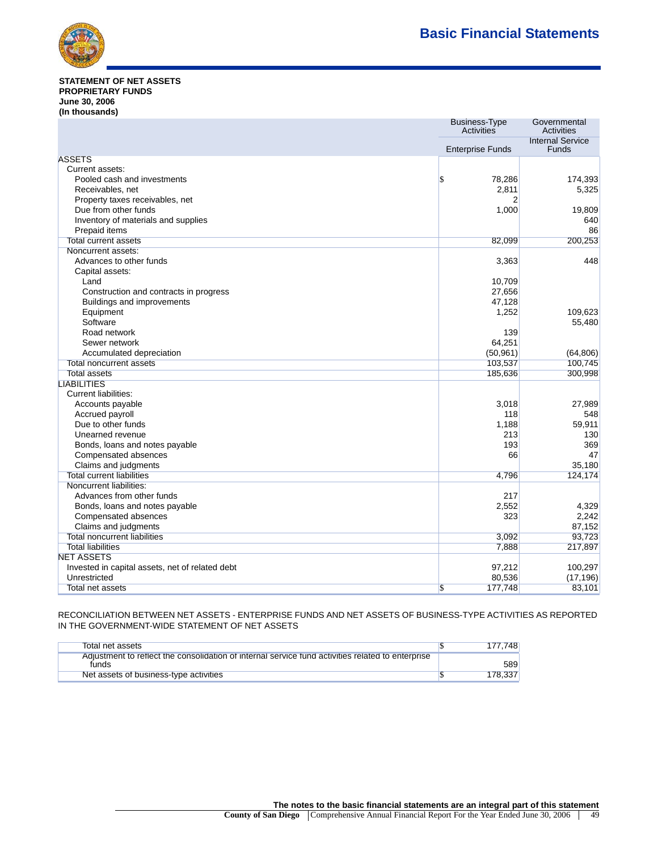

#### Statement of Net Assets **STATEMENT OF NET ASSETS PROPRIETARY FUNDS June 30, 2006 (In thousands)**

|                                                 | <b>Business-Type</b><br>Activities | Governmental<br><b>Activities</b>       |
|-------------------------------------------------|------------------------------------|-----------------------------------------|
|                                                 | <b>Enterprise Funds</b>            | <b>Internal Service</b><br><b>Funds</b> |
| <b>ASSETS</b>                                   |                                    |                                         |
| Current assets:                                 |                                    |                                         |
| Pooled cash and investments                     | \$<br>78,286                       | 174,393                                 |
| Receivables, net                                | 2,811                              | 5,325                                   |
| Property taxes receivables, net                 | 2                                  |                                         |
| Due from other funds                            | 1,000                              | 19,809                                  |
| Inventory of materials and supplies             |                                    | 640                                     |
| Prepaid items                                   |                                    | 86                                      |
| <b>Total current assets</b>                     | 82,099                             | 200,253                                 |
| Noncurrent assets:                              |                                    |                                         |
| Advances to other funds                         | 3,363                              | 448                                     |
| Capital assets:                                 |                                    |                                         |
| Land                                            | 10,709                             |                                         |
| Construction and contracts in progress          | 27,656                             |                                         |
| Buildings and improvements                      | 47,128                             |                                         |
| Equipment                                       | 1,252                              | 109,623                                 |
| Software                                        |                                    | 55,480                                  |
| Road network                                    | 139                                |                                         |
| Sewer network                                   | 64,251                             |                                         |
| Accumulated depreciation                        | (50, 961)                          | (64, 806)                               |
| <b>Total noncurrent assets</b>                  | 103,537                            | 100,745                                 |
| <b>Total assets</b>                             | 185,636                            | 300,998                                 |
| <b>LIABILITIES</b>                              |                                    |                                         |
| Current liabilities:                            |                                    |                                         |
| Accounts payable                                | 3,018                              | 27,989                                  |
| Accrued payroll                                 | 118                                | 548                                     |
| Due to other funds                              | 1,188                              | 59,911                                  |
| Unearned revenue                                | 213                                | 130                                     |
| Bonds, loans and notes payable                  | 193                                | 369                                     |
| Compensated absences                            | 66                                 | 47                                      |
| Claims and judgments                            |                                    | 35,180                                  |
| <b>Total current liabilities</b>                | 4,796                              | 124,174                                 |
| Noncurrent liabilities:                         |                                    |                                         |
| Advances from other funds                       | 217                                |                                         |
| Bonds, loans and notes payable                  | 2,552                              | 4,329                                   |
| Compensated absences                            | 323                                | 2,242                                   |
| Claims and judgments                            |                                    | 87,152                                  |
| <b>Total noncurrent liabilities</b>             | 3,092                              | 93,723                                  |
| <b>Total liabilities</b>                        | 7,888                              | 217,897                                 |
| <b>NET ASSETS</b>                               |                                    |                                         |
| Invested in capital assets, net of related debt | 97,212                             | 100,297                                 |
| Unrestricted                                    | 80,536                             | (17, 196)                               |
| Total net assets                                | 177,748<br>\$                      | 83,101                                  |

RECONCILIATION BETWEEN NET ASSETS - ENTERPRISE FUNDS AND NET ASSETS OF BUSINESS-TYPE ACTIVITIES AS REPORTED IN THE GOVERNMENT-WIDE STATEMENT OF NET ASSETS

| Total net assets                                                                                           | .748    |
|------------------------------------------------------------------------------------------------------------|---------|
| Adjustment to reflect the consolidation of internal service fund activities related to enterprise<br>funds | 589     |
| Net assets of business-type activities                                                                     | 178.337 |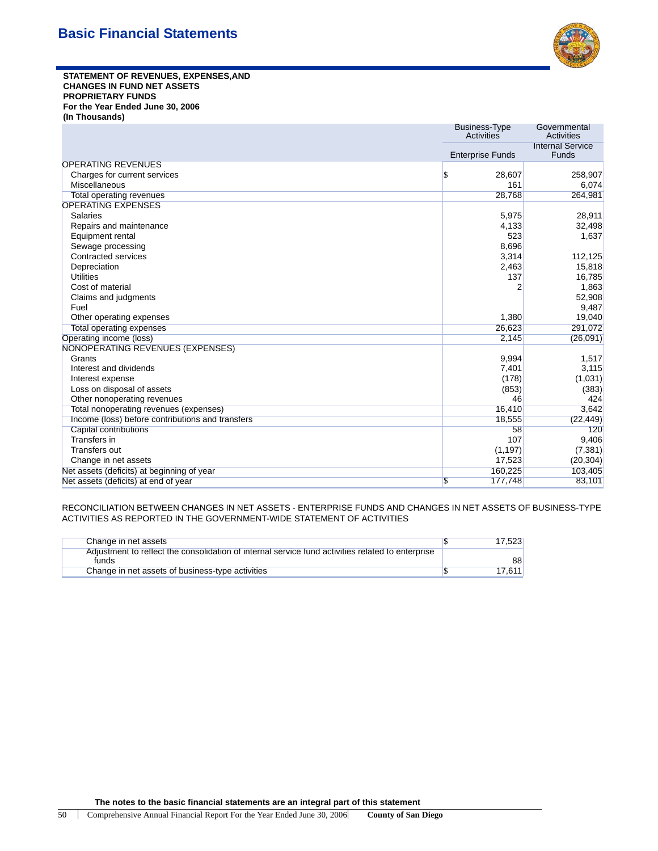

**STATEMENT OF REVENUES, EXPENSES,AND CHANGES IN FUND NET ASSETS PROPRIETARY FUNDS For the Year Ended June 30, 2006 (In Thousands)**

|                                                  | <b>Business-Type</b><br>Activities | Governmental<br>Activities              |
|--------------------------------------------------|------------------------------------|-----------------------------------------|
|                                                  | <b>Enterprise Funds</b>            | <b>Internal Service</b><br><b>Funds</b> |
| <b>OPERATING REVENUES</b>                        |                                    |                                         |
| Charges for current services                     | 28,607<br>S                        | 258,907                                 |
| Miscellaneous                                    | 161                                | 6,074                                   |
| <b>Total operating revenues</b>                  | 28,768                             | 264,981                                 |
| <b>OPERATING EXPENSES</b>                        |                                    |                                         |
| Salaries                                         | 5,975                              | 28,911                                  |
| Repairs and maintenance                          | 4,133                              | 32,498                                  |
| Equipment rental                                 | 523                                | 1,637                                   |
| Sewage processing                                | 8,696                              |                                         |
| Contracted services                              | 3,314                              | 112,125                                 |
| Depreciation                                     | 2,463                              | 15,818                                  |
| <b>Utilities</b>                                 | 137                                | 16,785                                  |
| Cost of material                                 | $\overline{2}$                     | 1,863                                   |
| Claims and judgments                             |                                    | 52,908                                  |
| Fuel                                             |                                    | 9,487                                   |
| Other operating expenses                         | 1,380                              | 19,040                                  |
| <b>Total operating expenses</b>                  | 26,623                             | 291,072                                 |
| Operating income (loss)                          | 2,145                              | (26,091)                                |
| <b>NONOPERATING REVENUES (EXPENSES)</b>          |                                    |                                         |
| Grants                                           | 9,994                              | 1,517                                   |
| Interest and dividends                           | 7,401                              | 3,115                                   |
| Interest expense                                 | (178)                              | (1,031)                                 |
| Loss on disposal of assets                       | (853)                              | (383)                                   |
| Other nonoperating revenues                      | 46                                 | 424                                     |
| Total nonoperating revenues (expenses)           | 16,410                             | 3,642                                   |
| Income (loss) before contributions and transfers | 18,555                             | (22, 449)                               |
| Capital contributions                            | 58                                 | 120                                     |
| Transfers in                                     | 107                                | 9,406                                   |
| Transfers out                                    | (1, 197)                           | (7, 381)                                |
| Change in net assets                             | 17,523                             | (20, 304)                               |
| Net assets (deficits) at beginning of year       | 160,225                            | 103,405                                 |
| Net assets (deficits) at end of year             | 177,748<br>\$                      | 83,101                                  |

RECONCILIATION BETWEEN CHANGES IN NET ASSETS - ENTERPRISE FUNDS AND CHANGES IN NET ASSETS OF BUSINESS-TYPE ACTIVITIES AS REPORTED IN THE GOVERNMENT-WIDE STATEMENT OF ACTIVITIES

| Change in net assets                                                                                       | 17.523 |
|------------------------------------------------------------------------------------------------------------|--------|
| Adjustment to reflect the consolidation of internal service fund activities related to enterprise<br>funds | 88     |
| Change in net assets of business-type activities                                                           | 17.611 |
|                                                                                                            |        |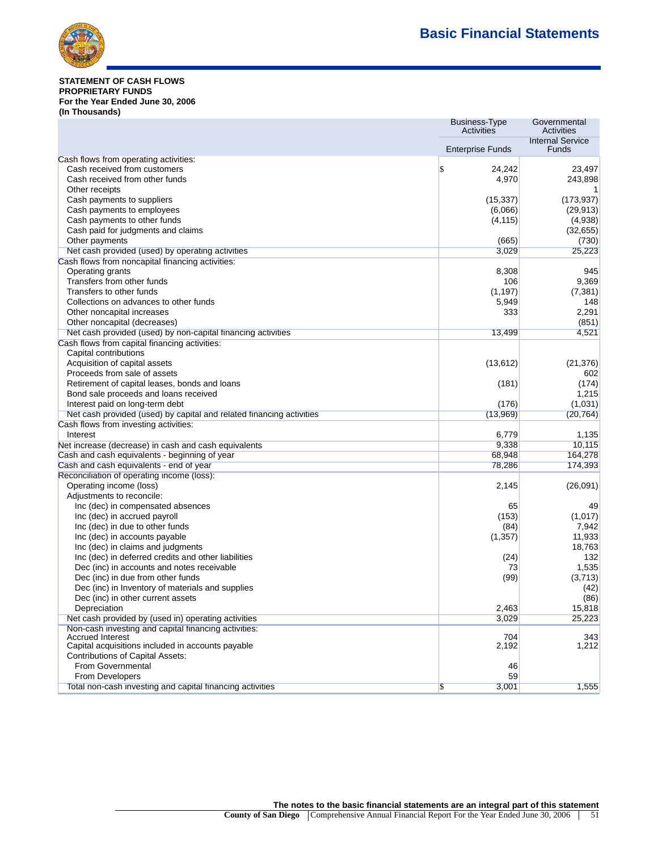

## **STATEMENT OF CASH FLOWS PROPRIETARY FUNDS For the Year Ended June 30, 2006 (In Thousands)**

|                                                                              | <b>Business-Type</b><br><b>Activities</b> | Governmental<br>Activities       |
|------------------------------------------------------------------------------|-------------------------------------------|----------------------------------|
|                                                                              | <b>Enterprise Funds</b>                   | <b>Internal Service</b><br>Funds |
| Cash flows from operating activities:                                        |                                           |                                  |
| Cash received from customers                                                 | \$<br>24,242                              | 23,497                           |
| Cash received from other funds                                               | 4,970                                     | 243,898                          |
| Other receipts                                                               |                                           | 1                                |
| Cash payments to suppliers                                                   | (15, 337)                                 | (173, 937)                       |
| Cash payments to employees                                                   | (6,066)                                   | (29, 913)                        |
| Cash payments to other funds                                                 | (4, 115)                                  | (4,938)                          |
| Cash paid for judgments and claims                                           |                                           | (32, 655)                        |
| Other payments                                                               | (665)                                     | (730)                            |
| Net cash provided (used) by operating activities                             | 3,029                                     | 25,223                           |
| Cash flows from noncapital financing activities:                             |                                           |                                  |
| Operating grants                                                             | 8,308                                     | 945                              |
| Transfers from other funds                                                   | 106                                       | 9,369                            |
| Transfers to other funds                                                     | (1, 197)                                  | (7, 381)                         |
| Collections on advances to other funds                                       | 5,949                                     | 148                              |
| Other noncapital increases                                                   | 333                                       | 2,291                            |
| Other noncapital (decreases)                                                 |                                           | (851)                            |
| Net cash provided (used) by non-capital financing activities                 | 13,499                                    | 4,521                            |
| Cash flows from capital financing activities:                                |                                           |                                  |
| Capital contributions                                                        |                                           |                                  |
| Acquisition of capital assets                                                | (13, 612)                                 | (21, 376)                        |
| Proceeds from sale of assets                                                 |                                           | 602                              |
| Retirement of capital leases, bonds and loans                                | (181)                                     | (174)                            |
| Bond sale proceeds and loans received                                        |                                           | 1,215                            |
| Interest paid on long-term debt                                              | (176)                                     | (1,031)                          |
| Net cash provided (used) by capital and related financing activities         | (13,969)                                  | (20, 764)                        |
| Cash flows from investing activities:                                        |                                           |                                  |
| Interest                                                                     | 6,779                                     | 1,135                            |
| Net increase (decrease) in cash and cash equivalents                         | 9,338                                     | 10,115                           |
| Cash and cash equivalents - beginning of year                                | 68,948                                    | 164,278                          |
| Cash and cash equivalents - end of year                                      | 78,286                                    | 174,393                          |
| Reconciliation of operating income (loss):                                   |                                           |                                  |
| Operating income (loss)                                                      | 2,145                                     | (26,091)                         |
| Adjustments to reconcile:                                                    |                                           |                                  |
| Inc (dec) in compensated absences                                            | 65                                        | 49                               |
| Inc (dec) in accrued payroll                                                 | (153)                                     | (1,017)                          |
| Inc (dec) in due to other funds                                              | (84)                                      | 7,942                            |
| Inc (dec) in accounts payable                                                | (1, 357)                                  | 11,933                           |
| Inc (dec) in claims and judgments                                            |                                           | 18,763                           |
| Inc (dec) in deferred credits and other liabilities                          | (24)                                      | 132                              |
| Dec (inc) in accounts and notes receivable                                   | 73                                        | 1,535                            |
| Dec (inc) in due from other funds                                            | (99)                                      | (3,713)                          |
| Dec (inc) in Inventory of materials and supplies                             |                                           | (42)                             |
| Dec (inc) in other current assets                                            |                                           | (86)                             |
| Depreciation                                                                 | 2,463                                     | 15,818                           |
| Net cash provided by (used in) operating activities                          | 3,029                                     | 25,223                           |
| Non-cash investing and capital financing activities:                         |                                           |                                  |
| <b>Accrued Interest</b><br>Capital acquisitions included in accounts payable | 704<br>2,192                              | 343<br>1,212                     |
| <b>Contributions of Capital Assets:</b>                                      |                                           |                                  |
| From Governmental                                                            | 46                                        |                                  |
| From Developers                                                              | 59                                        |                                  |
| Total non-cash investing and capital financing activities                    | \$<br>3,001                               | 1,555                            |
|                                                                              |                                           |                                  |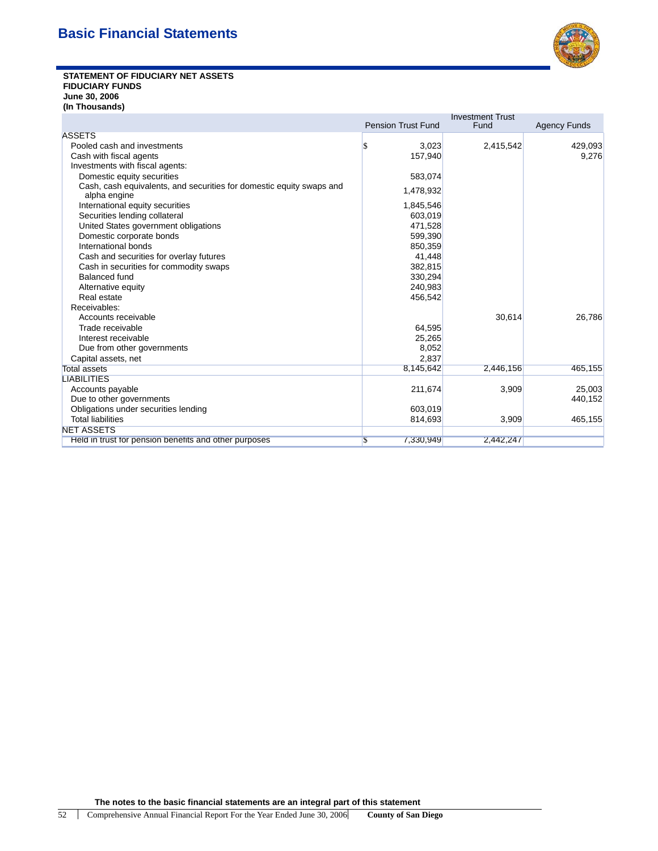

## **STATEMENT OF FIDUCIARY NET ASSETS FIDUCIARY FUNDS June 30, 2006 (In Thousands)**

|                                                                                      |                           | <b>Investment Trust</b> |                     |
|--------------------------------------------------------------------------------------|---------------------------|-------------------------|---------------------|
|                                                                                      | <b>Pension Trust Fund</b> | Fund                    | <b>Agency Funds</b> |
| <b>ASSETS</b>                                                                        |                           |                         |                     |
| Pooled cash and investments                                                          | 3,023<br>\$               | 2,415,542               | 429,093             |
| Cash with fiscal agents                                                              | 157,940                   |                         | 9,276               |
| Investments with fiscal agents:                                                      |                           |                         |                     |
| Domestic equity securities                                                           | 583,074                   |                         |                     |
| Cash, cash equivalents, and securities for domestic equity swaps and<br>alpha engine | 1,478,932                 |                         |                     |
| International equity securities                                                      | 1,845,546                 |                         |                     |
| Securities lending collateral                                                        | 603,019                   |                         |                     |
| United States government obligations                                                 | 471.528                   |                         |                     |
| Domestic corporate bonds                                                             | 599,390                   |                         |                     |
| International bonds                                                                  | 850,359                   |                         |                     |
| Cash and securities for overlay futures                                              | 41,448                    |                         |                     |
| Cash in securities for commodity swaps                                               | 382,815                   |                         |                     |
| <b>Balanced fund</b>                                                                 | 330,294                   |                         |                     |
| Alternative equity                                                                   | 240.983                   |                         |                     |
| Real estate                                                                          | 456,542                   |                         |                     |
| Receivables:                                                                         |                           |                         |                     |
| Accounts receivable                                                                  |                           | 30,614                  | 26,786              |
| Trade receivable                                                                     | 64,595                    |                         |                     |
| Interest receivable                                                                  | 25,265                    |                         |                     |
| Due from other governments                                                           | 8,052                     |                         |                     |
| Capital assets, net                                                                  | 2.837                     |                         |                     |
| <b>Total assets</b>                                                                  | 8.145.642                 | 2,446,156               | 465,155             |
| <b>LIABILITIES</b>                                                                   |                           |                         |                     |
| Accounts payable                                                                     | 211,674                   | 3,909                   | 25,003              |
| Due to other governments                                                             |                           |                         | 440,152             |
| Obligations under securities lending                                                 | 603,019                   |                         |                     |
| <b>Total liabilities</b>                                                             | 814,693                   | 3,909                   | 465,155             |
| <b>NET ASSETS</b>                                                                    |                           |                         |                     |
| Held in trust for pension benefits and other purposes                                | 7,330,949<br>S            | 2,442,247               |                     |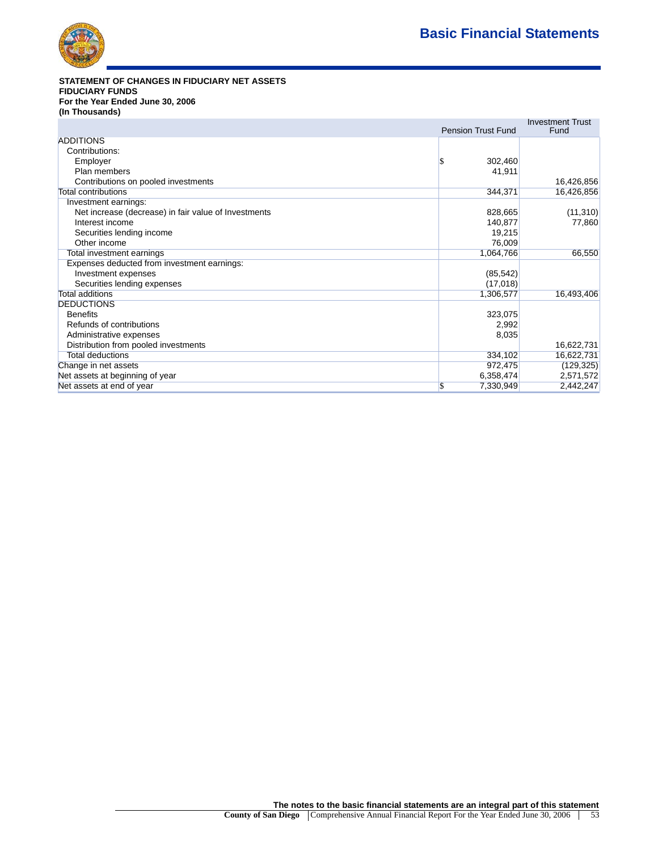

# **STATEMENT OF CHANGES IN FIDUCIARY NET ASSETS FIDUCIARY FUNDS For the Year Ended June 30, 2006 (In Thousands)**

|                                                      | <b>Pension Trust Fund</b> | <b>Investment Trust</b><br>Fund |
|------------------------------------------------------|---------------------------|---------------------------------|
| ADDITIONS                                            |                           |                                 |
| Contributions:                                       |                           |                                 |
| Employer                                             | 302,460                   |                                 |
| Plan members                                         | 41,911                    |                                 |
| Contributions on pooled investments                  |                           | 16,426,856                      |
| <b>Total contributions</b>                           | 344,371                   | 16,426,856                      |
| Investment earnings:                                 |                           |                                 |
| Net increase (decrease) in fair value of Investments | 828,665                   | (11, 310)                       |
| Interest income                                      | 140,877                   | 77,860                          |
| Securities lending income                            | 19,215                    |                                 |
| Other income                                         | 76,009                    |                                 |
| Total investment earnings                            | 1,064,766                 | 66,550                          |
| Expenses deducted from investment earnings:          |                           |                                 |
| Investment expenses                                  | (85, 542)                 |                                 |
| Securities lending expenses                          | (17,018)                  |                                 |
| <b>Total additions</b>                               | 1,306,577                 | 16,493,406                      |
| <b>DEDUCTIONS</b>                                    |                           |                                 |
| <b>Benefits</b>                                      | 323,075                   |                                 |
| Refunds of contributions                             | 2,992                     |                                 |
| Administrative expenses                              | 8,035                     |                                 |
| Distribution from pooled investments                 |                           | 16,622,731                      |
| <b>Total deductions</b>                              | 334,102                   | 16,622,731                      |
| Change in net assets                                 | 972,475                   | (129, 325)                      |
| Net assets at beginning of year                      | 6,358,474                 | 2,571,572                       |
| Net assets at end of year                            | 7,330,949                 | 2,442,247                       |